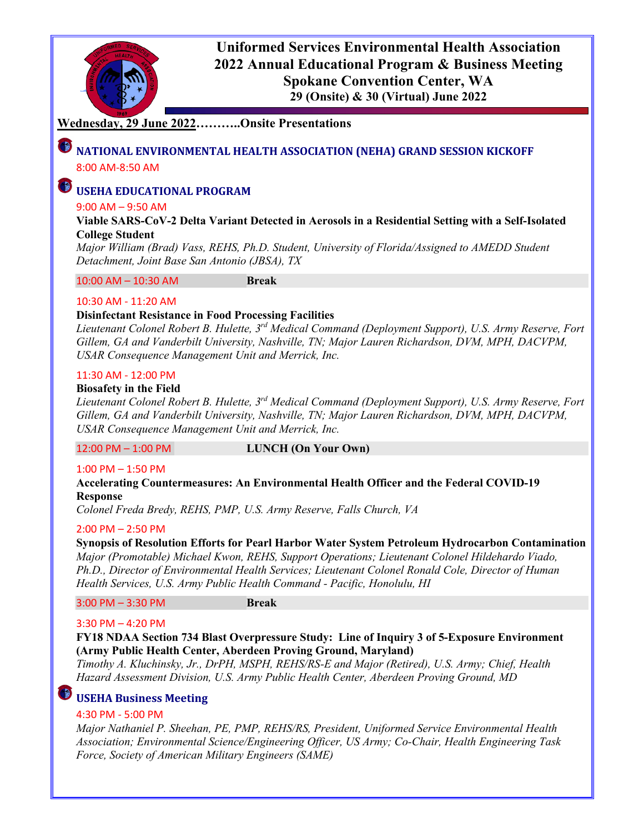

**Uniformed Services Environmental Health Association 2022 Annual Educational Program & Business Meeting Spokane Convention Center, WA 29 (Onsite) & 30 (Virtual) June 2022**

### **Wednesday, 29 June 2022………..Onsite Presentations**

## **NATIONAL ENVIRONMENTAL HEALTH ASSOCIATION (NEHA) GRAND SESSION KICKOFF** 8:00 AM-8:50 AM

# **USEHA EDUCATIONAL PROGRAM**

#### 9:00 AM – 9:50 AM

**Viable SARS-CoV-2 Delta Variant Detected in Aerosols in a Residential Setting with a Self-Isolated College Student**

*Major William (Brad) Vass, REHS, Ph.D. Student, University of Florida/Assigned to AMEDD Student Detachment, Joint Base San Antonio (JBSA), TX*

10:00 AM – 10:30 AM **Break**

#### 10:30 AM - 11:20 AM

#### **Disinfectant Resistance in Food Processing Facilities**

*Lieutenant Colonel Robert B. Hulette, 3rd Medical Command (Deployment Support), U.S. Army Reserve, Fort Gillem, GA and Vanderbilt University, Nashville, TN; Major Lauren Richardson, DVM, MPH, DACVPM, USAR Consequence Management Unit and Merrick, Inc.*

#### 11:30 AM - 12:00 PM

#### **Biosafety in the Field**

*Lieutenant Colonel Robert B. Hulette, 3rd Medical Command (Deployment Support), U.S. Army Reserve, Fort Gillem, GA and Vanderbilt University, Nashville, TN; Major Lauren Richardson, DVM, MPH, DACVPM, USAR Consequence Management Unit and Merrick, Inc.*

#### 12:00 PM – 1:00 PM **LUNCH (On Your Own)**

#### 1:00 PM – 1:50 PM

#### **Accelerating Countermeasures: An Environmental Health Officer and the Federal COVID-19 Response**

*Colonel Freda Bredy, REHS, PMP, U.S. Army Reserve, Falls Church, VA*

#### 2:00 PM – 2:50 PM

**Synopsis of Resolution Efforts for Pearl Harbor Water System Petroleum Hydrocarbon Contamination** *Major (Promotable) Michael Kwon, REHS, Support Operations; Lieutenant Colonel Hildehardo Viado, Ph.D., Director of Environmental Health Services; Lieutenant Colonel Ronald Cole, Director of Human Health Services, U.S. Army Public Health Command - Pacific, Honolulu, HI*

3:00 PM – 3:30 PM **Break**

#### 3:30 PM – 4:20 PM

#### **FY18 NDAA Section 734 Blast Overpressure Study: Line of Inquiry 3 of 5-Exposure Environment (Army Public Health Center, Aberdeen Proving Ground, Maryland)**

*Timothy A. Kluchinsky, Jr., DrPH, MSPH, REHS/RS-E and Major (Retired), U.S. Army; Chief, Health Hazard Assessment Division, U.S. Army Public Health Center, Aberdeen Proving Ground, MD*

# **USEHA Business Meeting**

#### 4:30 PM - 5:00 PM

*Major Nathaniel P. Sheehan, PE, PMP, REHS/RS, President, Uniformed Service Environmental Health Association; Environmental Science/Engineering Officer, US Army; Co-Chair, Health Engineering Task Force, Society of American Military Engineers (SAME)*